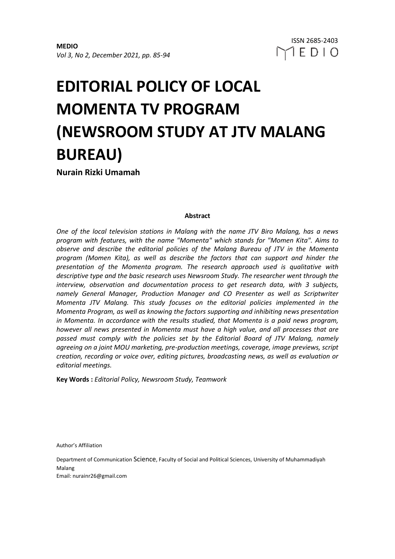# **EDITORIAL POLICY OF LOCAL MOMENTA TV PROGRAM (NEWSROOM STUDY AT JTV MALANG BUREAU)**

**Nurain Rizki Umamah**

# **Abstract**

*One of the local television stations in Malang with the name JTV Biro Malang, has a news program with features, with the name "Momenta" which stands for "Momen Kita". Aims to observe and describe the editorial policies of the Malang Bureau of JTV in the Momenta program (Momen Kita), as well as describe the factors that can support and hinder the presentation of the Momenta program. The research approach used is qualitative with descriptive type and the basic research uses Newsroom Study. The researcher went through the interview, observation and documentation process to get research data, with 3 subjects, namely General Manager, Production Manager and CO Presenter as well as Scriptwriter Momenta JTV Malang. This study focuses on the editorial policies implemented in the Momenta Program, as well as knowing the factors supporting and inhibiting news presentation in Momenta. In accordance with the results studied, that Momenta is a paid news program, however all news presented in Momenta must have a high value, and all processes that are passed must comply with the policies set by the Editorial Board of JTV Malang, namely agreeing on a joint MOU marketing, pre-production meetings, coverage, image previews, script creation, recording or voice over, editing pictures, broadcasting news, as well as evaluation or editorial meetings.*

**Key Words :** *Editorial Policy, Newsroom Study, Teamwork*

Author's Affiliation

Department of Communication Science, Faculty of Social and Political Sciences, University of Muhammadiyah Malang Email: nurainr26@gmail.com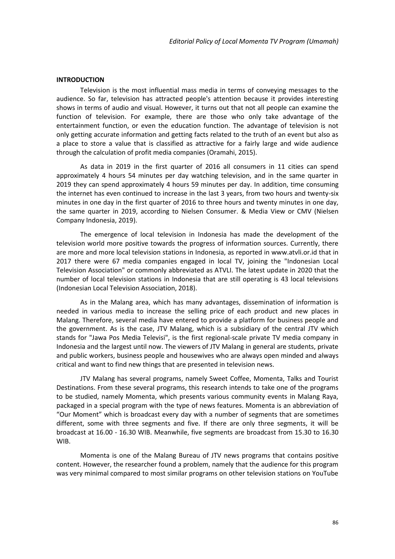#### **INTRODUCTION**

Television is the most influential mass media in terms of conveying messages to the audience. So far, television has attracted people's attention because it provides interesting shows in terms of audio and visual. However, it turns out that not all people can examine the function of television. For example, there are those who only take advantage of the entertainment function, or even the education function. The advantage of television is not only getting accurate information and getting facts related to the truth of an event but also as a place to store a value that is classified as attractive for a fairly large and wide audience through the calculation of profit media companies (Oramahi, 2015).

As data in 2019 in the first quarter of 2016 all consumers in 11 cities can spend approximately 4 hours 54 minutes per day watching television, and in the same quarter in 2019 they can spend approximately 4 hours 59 minutes per day. In addition, time consuming the internet has even continued to increase in the last 3 years, from two hours and twenty-six minutes in one day in the first quarter of 2016 to three hours and twenty minutes in one day, the same quarter in 2019, according to Nielsen Consumer. & Media View or CMV (Nielsen Company Indonesia, 2019).

The emergence of local television in Indonesia has made the development of the television world more positive towards the progress of information sources. Currently, there are more and more local television stations in Indonesia, as reported in www.atvli.or.id that in 2017 there were 67 media companies engaged in local TV, joining the "Indonesian Local Television Association" or commonly abbreviated as ATVLI. The latest update in 2020 that the number of local television stations in Indonesia that are still operating is 43 local televisions (Indonesian Local Television Association, 2018).

As in the Malang area, which has many advantages, dissemination of information is needed in various media to increase the selling price of each product and new places in Malang. Therefore, several media have entered to provide a platform for business people and the government. As is the case, JTV Malang, which is a subsidiary of the central JTV which stands for "Jawa Pos Media Televisi", is the first regional-scale private TV media company in Indonesia and the largest until now. The viewers of JTV Malang in general are students, private and public workers, business people and housewives who are always open minded and always critical and want to find new things that are presented in television news.

JTV Malang has several programs, namely Sweet Coffee, Momenta, Talks and Tourist Destinations. From these several programs, this research intends to take one of the programs to be studied, namely Momenta, which presents various community events in Malang Raya, packaged in a special program with the type of news features. Momenta is an abbreviation of "Our Moment" which is broadcast every day with a number of segments that are sometimes different, some with three segments and five. If there are only three segments, it will be broadcast at 16.00 - 16.30 WIB. Meanwhile, five segments are broadcast from 15.30 to 16.30 WIB.

Momenta is one of the Malang Bureau of JTV news programs that contains positive content. However, the researcher found a problem, namely that the audience for this program was very minimal compared to most similar programs on other television stations on YouTube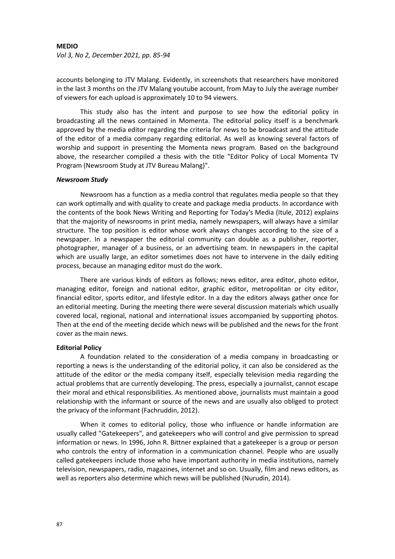*Vol 3, No 2, December 2021, pp. 85-94*

accounts belonging to JTV Malang. Evidently, in screenshots that researchers have monitored in the last 3 months on the JTV Malang youtube account, from May to July the average number of viewers for each upload is approximately 10 to 94 viewers.

This study also has the intent and purpose to see how the editorial policy in broadcasting all the news contained in Momenta. The editorial policy itself is a benchmark approved by the media editor regarding the criteria for news to be broadcast and the attitude of the editor of a media company regarding editorial. As well as knowing several factors of worship and support in presenting the Momenta news program. Based on the background above, the researcher compiled a thesis with the title "Editor Policy of Local Momenta TV Program (Newsroom Study at JTV Bureau Malang)".

### *Newsroom Study*

Newsroom has a function as a media control that regulates media people so that they can work optimally and with quality to create and package media products. In accordance with the contents of the book News Writing and Reporting for Today's Media (Itule, 2012) explains that the majority of newsrooms in print media, namely newspapers, will always have a similar structure. The top position is editor whose work always changes according to the size of a newspaper. In a newspaper the editorial community can double as a publisher, reporter, photographer, manager of a business, or an advertising team. In newspapers in the capital which are usually large, an editor sometimes does not have to intervene in the daily editing process, because an managing editor must do the work.

There are various kinds of editors as follows; news editor, area editor, photo editor, managing editor, foreign and national editor, graphic editor, metropolitan or city editor, financial editor, sports editor, and lifestyle editor. In a day the editors always gather once for an editorial meeting. During the meeting there were several discussion materials which usually covered local, regional, national and international issues accompanied by supporting photos. Then at the end of the meeting decide which news will be published and the news for the front cover as the main news.

### **Editorial Policy**

A foundation related to the consideration of a media company in broadcasting or reporting a news is the understanding of the editorial policy, it can also be considered as the attitude of the editor or the media company itself, especially television media regarding the actual problems that are currently developing. The press, especially a journalist, cannot escape their moral and ethical responsibilities. As mentioned above, journalists must maintain a good relationship with the informant or source of the news and are usually also obliged to protect the privacy of the informant (Fachruddin, 2012).

When it comes to editorial policy, those who influence or handle information are usually called "Gatekeepers", and gatekeepers who will control and give permission to spread information or news. In 1996, John R. Bittner explained that a gatekeeper is a group or person who controls the entry of information in a communication channel. People who are usually called gatekeepers include those who have important authority in media institutions, namely television, newspapers, radio, magazines, internet and so on. Usually, film and news editors, as well as reporters also determine which news will be published (Nurudin, 2014).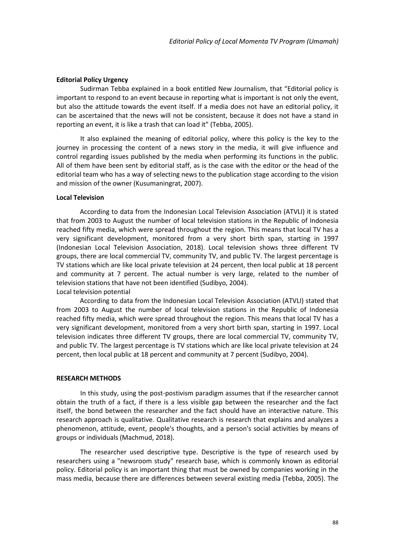## **Editorial Policy Urgency**

Sudirman Tebba explained in a book entitled New Journalism, that "Editorial policy is important to respond to an event because in reporting what is important is not only the event, but also the attitude towards the event itself. If a media does not have an editorial policy, it can be ascertained that the news will not be consistent, because it does not have a stand in reporting an event, it is like a trash that can load it" (Tebba, 2005).

It also explained the meaning of editorial policy, where this policy is the key to the journey in processing the content of a news story in the media, it will give influence and control regarding issues published by the media when performing its functions in the public. All of them have been sent by editorial staff, as is the case with the editor or the head of the editorial team who has a way of selecting news to the publication stage according to the vision and mission of the owner (Kusumaningrat, 2007).

#### **Local Television**

According to data from the Indonesian Local Television Association (ATVLI) it is stated that from 2003 to August the number of local television stations in the Republic of Indonesia reached fifty media, which were spread throughout the region. This means that local TV has a very significant development, monitored from a very short birth span, starting in 1997 (Indonesian Local Television Association, 2018). Local television shows three different TV groups, there are local commercial TV, community TV, and public TV. The largest percentage is TV stations which are like local private television at 24 percent, then local public at 18 percent and community at 7 percent. The actual number is very large, related to the number of television stations that have not been identified (Sudibyo, 2004).

Local television potential

According to data from the Indonesian Local Television Association (ATVLI) stated that from 2003 to August the number of local television stations in the Republic of Indonesia reached fifty media, which were spread throughout the region. This means that local TV has a very significant development, monitored from a very short birth span, starting in 1997. Local television indicates three different TV groups, there are local commercial TV, community TV, and public TV. The largest percentage is TV stations which are like local private television at 24 percent, then local public at 18 percent and community at 7 percent (Sudibyo, 2004).

#### **RESEARCH METHODS**

In this study, using the post-postivism paradigm assumes that if the researcher cannot obtain the truth of a fact, if there is a less visible gap between the researcher and the fact itself, the bond between the researcher and the fact should have an interactive nature. This research approach is qualitative. Qualitative research is research that explains and analyzes a phenomenon, attitude, event, people's thoughts, and a person's social activities by means of groups or individuals (Machmud, 2018).

The researcher used descriptive type. Descriptive is the type of research used by researchers using a "newsroom study" research base, which is commonly known as editorial policy. Editorial policy is an important thing that must be owned by companies working in the mass media, because there are differences between several existing media (Tebba, 2005). The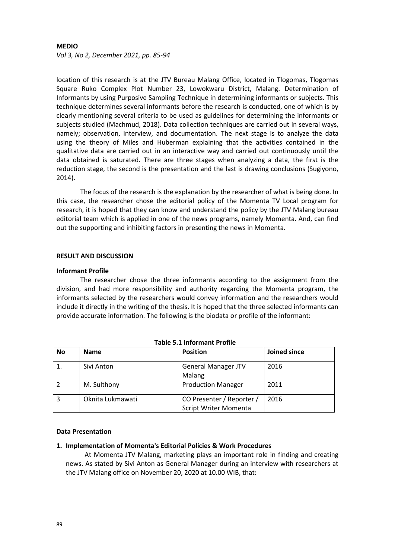*Vol 3, No 2, December 2021, pp. 85-94*

location of this research is at the JTV Bureau Malang Office, located in Tlogomas, Tlogomas Square Ruko Complex Plot Number 23, Lowokwaru District, Malang. Determination of Informants by using Purposive Sampling Technique in determining informants or subjects. This technique determines several informants before the research is conducted, one of which is by clearly mentioning several criteria to be used as guidelines for determining the informants or subjects studied (Machmud, 2018). Data collection techniques are carried out in several ways, namely; observation, interview, and documentation. The next stage is to analyze the data using the theory of Miles and Huberman explaining that the activities contained in the qualitative data are carried out in an interactive way and carried out continuously until the data obtained is saturated. There are three stages when analyzing a data, the first is the reduction stage, the second is the presentation and the last is drawing conclusions (Sugiyono, 2014).

The focus of the research is the explanation by the researcher of what is being done. In this case, the researcher chose the editorial policy of the Momenta TV Local program for research, it is hoped that they can know and understand the policy by the JTV Malang bureau editorial team which is applied in one of the news programs, namely Momenta. And, can find out the supporting and inhibiting factors in presenting the news in Momenta.

# **RESULT AND DISCUSSION**

### **Informant Profile**

The researcher chose the three informants according to the assignment from the division, and had more responsibility and authority regarding the Momenta program, the informants selected by the researchers would convey information and the researchers would include it directly in the writing of the thesis. It is hoped that the three selected informants can provide accurate information. The following is the biodata or profile of the informant:

| <b>No</b> | <b>Name</b>      | <b>Position</b>                                    | Joined since |
|-----------|------------------|----------------------------------------------------|--------------|
|           | Sivi Anton       | <b>General Manager JTV</b><br>Malang               | 2016         |
|           | M. Sulthony      | <b>Production Manager</b>                          | 2011         |
| 3         | Oknita Lukmawati | CO Presenter / Reporter /<br>Script Writer Momenta | 2016         |

### **Table 5.1 Informant Profile**

# **Data Presentation**

### **1. Implementation of Momenta's Editorial Policies & Work Procedures**

At Momenta JTV Malang, marketing plays an important role in finding and creating news. As stated by Sivi Anton as General Manager during an interview with researchers at the JTV Malang office on November 20, 2020 at 10.00 WIB, that: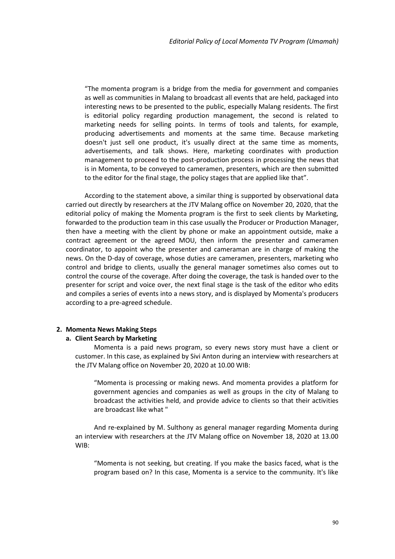"The momenta program is a bridge from the media for government and companies as well as communities in Malang to broadcast all events that are held, packaged into interesting news to be presented to the public, especially Malang residents. The first is editorial policy regarding production management, the second is related to marketing needs for selling points. In terms of tools and talents, for example, producing advertisements and moments at the same time. Because marketing doesn't just sell one product, it's usually direct at the same time as moments, advertisements, and talk shows. Here, marketing coordinates with production management to proceed to the post-production process in processing the news that is in Momenta, to be conveyed to cameramen, presenters, which are then submitted to the editor for the final stage, the policy stages that are applied like that".

According to the statement above, a similar thing is supported by observational data carried out directly by researchers at the JTV Malang office on November 20, 2020, that the editorial policy of making the Momenta program is the first to seek clients by Marketing, forwarded to the production team in this case usually the Producer or Production Manager, then have a meeting with the client by phone or make an appointment outside, make a contract agreement or the agreed MOU, then inform the presenter and cameramen coordinator, to appoint who the presenter and cameraman are in charge of making the news. On the D-day of coverage, whose duties are cameramen, presenters, marketing who control and bridge to clients, usually the general manager sometimes also comes out to control the course of the coverage. After doing the coverage, the task is handed over to the presenter for script and voice over, the next final stage is the task of the editor who edits and compiles a series of events into a news story, and is displayed by Momenta's producers according to a pre-agreed schedule.

# **2. Momenta News Making Steps**

#### **a. Client Search by Marketing**

Momenta is a paid news program, so every news story must have a client or customer. In this case, as explained by Sivi Anton during an interview with researchers at the JTV Malang office on November 20, 2020 at 10.00 WIB:

"Momenta is processing or making news. And momenta provides a platform for government agencies and companies as well as groups in the city of Malang to broadcast the activities held, and provide advice to clients so that their activities are broadcast like what "

And re-explained by M. Sulthony as general manager regarding Momenta during an interview with researchers at the JTV Malang office on November 18, 2020 at 13.00 WIB:

"Momenta is not seeking, but creating. If you make the basics faced, what is the program based on? In this case, Momenta is a service to the community. It's like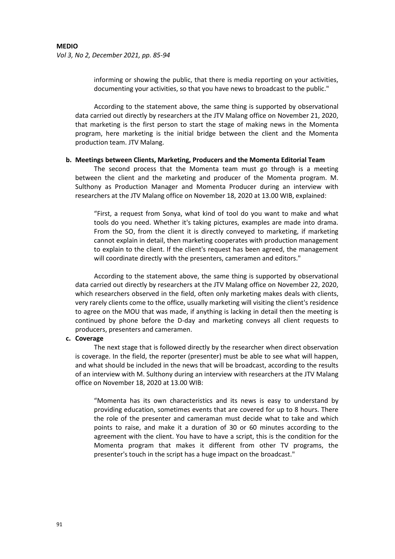informing or showing the public, that there is media reporting on your activities, documenting your activities, so that you have news to broadcast to the public."

According to the statement above, the same thing is supported by observational data carried out directly by researchers at the JTV Malang office on November 21, 2020, that marketing is the first person to start the stage of making news in the Momenta program, here marketing is the initial bridge between the client and the Momenta production team. JTV Malang.

### **b. Meetings between Clients, Marketing, Producers and the Momenta Editorial Team**

The second process that the Momenta team must go through is a meeting between the client and the marketing and producer of the Momenta program. M. Sulthony as Production Manager and Momenta Producer during an interview with researchers at the JTV Malang office on November 18, 2020 at 13.00 WIB, explained:

"First, a request from Sonya, what kind of tool do you want to make and what tools do you need. Whether it's taking pictures, examples are made into drama. From the SO, from the client it is directly conveyed to marketing, if marketing cannot explain in detail, then marketing cooperates with production management to explain to the client. If the client's request has been agreed, the management will coordinate directly with the presenters, cameramen and editors."

According to the statement above, the same thing is supported by observational data carried out directly by researchers at the JTV Malang office on November 22, 2020, which researchers observed in the field, often only marketing makes deals with clients, very rarely clients come to the office, usually marketing will visiting the client's residence to agree on the MOU that was made, if anything is lacking in detail then the meeting is continued by phone before the D-day and marketing conveys all client requests to producers, presenters and cameramen.

## **c. Coverage**

The next stage that is followed directly by the researcher when direct observation is coverage. In the field, the reporter (presenter) must be able to see what will happen, and what should be included in the news that will be broadcast, according to the results of an interview with M. Sulthony during an interview with researchers at the JTV Malang office on November 18, 2020 at 13.00 WIB:

"Momenta has its own characteristics and its news is easy to understand by providing education, sometimes events that are covered for up to 8 hours. There the role of the presenter and cameraman must decide what to take and which points to raise, and make it a duration of 30 or 60 minutes according to the agreement with the client. You have to have a script, this is the condition for the Momenta program that makes it different from other TV programs, the presenter's touch in the script has a huge impact on the broadcast."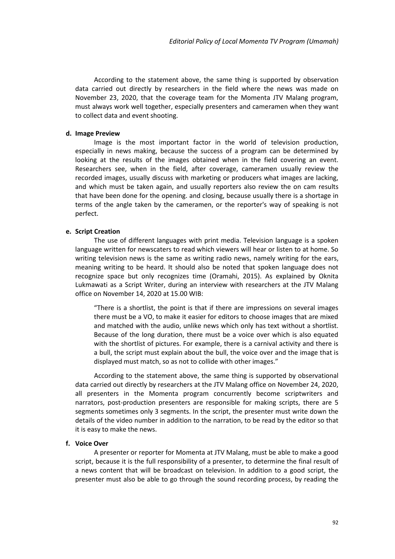According to the statement above, the same thing is supported by observation data carried out directly by researchers in the field where the news was made on November 23, 2020, that the coverage team for the Momenta JTV Malang program, must always work well together, especially presenters and cameramen when they want to collect data and event shooting.

#### **d. Image Preview**

Image is the most important factor in the world of television production, especially in news making, because the success of a program can be determined by looking at the results of the images obtained when in the field covering an event. Researchers see, when in the field, after coverage, cameramen usually review the recorded images, usually discuss with marketing or producers what images are lacking, and which must be taken again, and usually reporters also review the on cam results that have been done for the opening. and closing, because usually there is a shortage in terms of the angle taken by the cameramen, or the reporter's way of speaking is not perfect.

## **e. Script Creation**

The use of different languages with print media. Television language is a spoken language written for newscaters to read which viewers will hear or listen to at home. So writing television news is the same as writing radio news, namely writing for the ears, meaning writing to be heard. It should also be noted that spoken language does not recognize space but only recognizes time (Oramahi, 2015). As explained by Oknita Lukmawati as a Script Writer, during an interview with researchers at the JTV Malang office on November 14, 2020 at 15.00 WIB:

"There is a shortlist, the point is that if there are impressions on several images there must be a VO, to make it easier for editors to choose images that are mixed and matched with the audio, unlike news which only has text without a shortlist. Because of the long duration, there must be a voice over which is also equated with the shortlist of pictures. For example, there is a carnival activity and there is a bull, the script must explain about the bull, the voice over and the image that is displayed must match, so as not to collide with other images."

According to the statement above, the same thing is supported by observational data carried out directly by researchers at the JTV Malang office on November 24, 2020, all presenters in the Momenta program concurrently become scriptwriters and narrators, post-production presenters are responsible for making scripts, there are 5 segments sometimes only 3 segments. In the script, the presenter must write down the details of the video number in addition to the narration, to be read by the editor so that it is easy to make the news.

#### **f. Voice Over**

A presenter or reporter for Momenta at JTV Malang, must be able to make a good script, because it is the full responsibility of a presenter, to determine the final result of a news content that will be broadcast on television. In addition to a good script, the presenter must also be able to go through the sound recording process, by reading the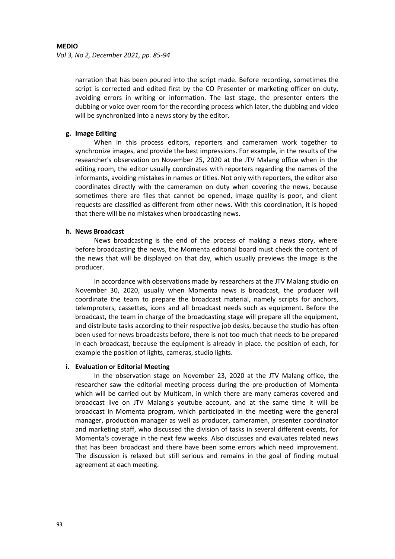*Vol 3, No 2, December 2021, pp. 85-94*

narration that has been poured into the script made. Before recording, sometimes the script is corrected and edited first by the CO Presenter or marketing officer on duty, avoiding errors in writing or information. The last stage, the presenter enters the dubbing or voice over room for the recording process which later, the dubbing and video will be synchronized into a news story by the editor.

# **g. Image Editing**

When in this process editors, reporters and cameramen work together to synchronize images, and provide the best impressions. For example, in the results of the researcher's observation on November 25, 2020 at the JTV Malang office when in the editing room, the editor usually coordinates with reporters regarding the names of the informants, avoiding mistakes in names or titles. Not only with reporters, the editor also coordinates directly with the cameramen on duty when covering the news, because sometimes there are files that cannot be opened, image quality is poor, and client requests are classified as different from other news. With this coordination, it is hoped that there will be no mistakes when broadcasting news.

# **h. News Broadcast**

News broadcasting is the end of the process of making a news story, where before broadcasting the news, the Momenta editorial board must check the content of the news that will be displayed on that day, which usually previews the image is the producer.

In accordance with observations made by researchers at the JTV Malang studio on November 30, 2020, usually when Momenta news is broadcast, the producer will coordinate the team to prepare the broadcast material, namely scripts for anchors, telemproters, cassettes, icons and all broadcast needs such as equipment. Before the broadcast, the team in charge of the broadcasting stage will prepare all the equipment, and distribute tasks according to their respective job desks, because the studio has often been used for news broadcasts before, there is not too much that needs to be prepared in each broadcast, because the equipment is already in place. the position of each, for example the position of lights, cameras, studio lights.

# **i. Evaluation or Editorial Meeting**

In the observation stage on November 23, 2020 at the JTV Malang office, the researcher saw the editorial meeting process during the pre-production of Momenta which will be carried out by Multicam, in which there are many cameras covered and broadcast live on JTV Malang's youtube account, and at the same time it will be broadcast in Momenta program, which participated in the meeting were the general manager, production manager as well as producer, cameramen, presenter coordinator and marketing staff, who discussed the division of tasks in several different events, for Momenta's coverage in the next few weeks. Also discusses and evaluates related news that has been broadcast and there have been some errors which need improvement. The discussion is relaxed but still serious and remains in the goal of finding mutual agreement at each meeting.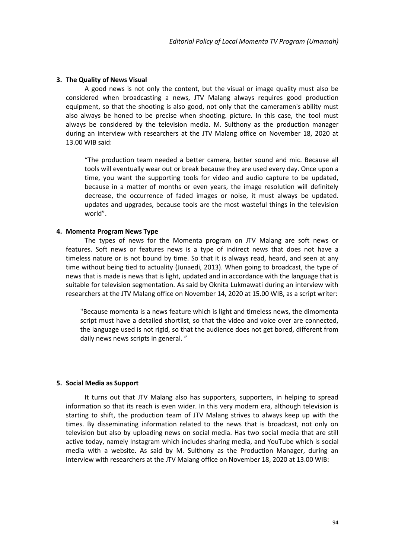#### **3. The Quality of News Visual**

A good news is not only the content, but the visual or image quality must also be considered when broadcasting a news, JTV Malang always requires good production equipment, so that the shooting is also good, not only that the cameramen's ability must also always be honed to be precise when shooting. picture. In this case, the tool must always be considered by the television media. M. Sulthony as the production manager during an interview with researchers at the JTV Malang office on November 18, 2020 at 13.00 WIB said:

"The production team needed a better camera, better sound and mic. Because all tools will eventually wear out or break because they are used every day. Once upon a time, you want the supporting tools for video and audio capture to be updated, because in a matter of months or even years, the image resolution will definitely decrease, the occurrence of faded images or noise, it must always be updated. updates and upgrades, because tools are the most wasteful things in the television world".

## **4. Momenta Program News Type**

The types of news for the Momenta program on JTV Malang are soft news or features. Soft news or features news is a type of indirect news that does not have a timeless nature or is not bound by time. So that it is always read, heard, and seen at any time without being tied to actuality (Junaedi, 2013). When going to broadcast, the type of news that is made is news that is light, updated and in accordance with the language that is suitable for television segmentation. As said by Oknita Lukmawati during an interview with researchers at the JTV Malang office on November 14, 2020 at 15.00 WIB, as a script writer:

"Because momenta is a news feature which is light and timeless news, the dimomenta script must have a detailed shortlist, so that the video and voice over are connected, the language used is not rigid, so that the audience does not get bored, different from daily news news scripts in general. "

## **5. Social Media as Support**

It turns out that JTV Malang also has supporters, supporters, in helping to spread information so that its reach is even wider. In this very modern era, although television is starting to shift, the production team of JTV Malang strives to always keep up with the times. By disseminating information related to the news that is broadcast, not only on television but also by uploading news on social media. Has two social media that are still active today, namely Instagram which includes sharing media, and YouTube which is social media with a website. As said by M. Sulthony as the Production Manager, during an interview with researchers at the JTV Malang office on November 18, 2020 at 13.00 WIB: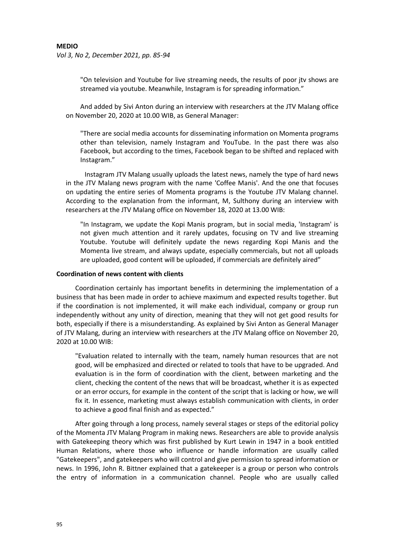*Vol 3, No 2, December 2021, pp. 85-94*

"On television and Youtube for live streaming needs, the results of poor jtv shows are streamed via youtube. Meanwhile, Instagram is for spreading information."

And added by Sivi Anton during an interview with researchers at the JTV Malang office on November 20, 2020 at 10.00 WIB, as General Manager:

"There are social media accounts for disseminating information on Momenta programs other than television, namely Instagram and YouTube. In the past there was also Facebook, but according to the times, Facebook began to be shifted and replaced with Instagram."

Instagram JTV Malang usually uploads the latest news, namely the type of hard news in the JTV Malang news program with the name 'Coffee Manis'. And the one that focuses on updating the entire series of Momenta programs is the Youtube JTV Malang channel. According to the explanation from the informant, M, Sulthony during an interview with researchers at the JTV Malang office on November 18, 2020 at 13.00 WIB:

"In Instagram, we update the Kopi Manis program, but in social media, 'Instagram' is not given much attention and it rarely updates, focusing on TV and live streaming Youtube. Youtube will definitely update the news regarding Kopi Manis and the Momenta live stream, and always update, especially commercials, but not all uploads are uploaded, good content will be uploaded, if commercials are definitely aired"

#### **Coordination of news content with clients**

Coordination certainly has important benefits in determining the implementation of a business that has been made in order to achieve maximum and expected results together. But if the coordination is not implemented, it will make each individual, company or group run independently without any unity of direction, meaning that they will not get good results for both, especially if there is a misunderstanding. As explained by Sivi Anton as General Manager of JTV Malang, during an interview with researchers at the JTV Malang office on November 20, 2020 at 10.00 WIB:

"Evaluation related to internally with the team, namely human resources that are not good, will be emphasized and directed or related to tools that have to be upgraded. And evaluation is in the form of coordination with the client, between marketing and the client, checking the content of the news that will be broadcast, whether it is as expected or an error occurs, for example in the content of the script that is lacking or how, we will fix it. In essence, marketing must always establish communication with clients, in order to achieve a good final finish and as expected."

After going through a long process, namely several stages or steps of the editorial policy of the Momenta JTV Malang Program in making news. Researchers are able to provide analysis with Gatekeeping theory which was first published by Kurt Lewin in 1947 in a book entitled Human Relations, where those who influence or handle information are usually called "Gatekeepers", and gatekeepers who will control and give permission to spread information or news. In 1996, John R. Bittner explained that a gatekeeper is a group or person who controls the entry of information in a communication channel. People who are usually called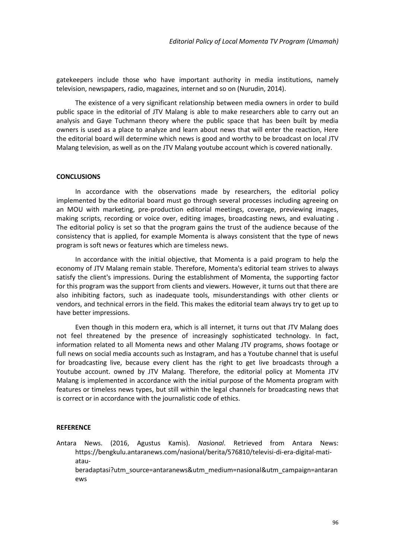gatekeepers include those who have important authority in media institutions, namely television, newspapers, radio, magazines, internet and so on (Nurudin, 2014).

The existence of a very significant relationship between media owners in order to build public space in the editorial of JTV Malang is able to make researchers able to carry out an analysis and Gaye Tuchmann theory where the public space that has been built by media owners is used as a place to analyze and learn about news that will enter the reaction, Here the editorial board will determine which news is good and worthy to be broadcast on local JTV Malang television, as well as on the JTV Malang youtube account which is covered nationally.

### **CONCLUSIONS**

In accordance with the observations made by researchers, the editorial policy implemented by the editorial board must go through several processes including agreeing on an MOU with marketing, pre-production editorial meetings, coverage, previewing images, making scripts, recording or voice over, editing images, broadcasting news, and evaluating . The editorial policy is set so that the program gains the trust of the audience because of the consistency that is applied, for example Momenta is always consistent that the type of news program is soft news or features which are timeless news.

In accordance with the initial objective, that Momenta is a paid program to help the economy of JTV Malang remain stable. Therefore, Momenta's editorial team strives to always satisfy the client's impressions. During the establishment of Momenta, the supporting factor for this program was the support from clients and viewers. However, it turns out that there are also inhibiting factors, such as inadequate tools, misunderstandings with other clients or vendors, and technical errors in the field. This makes the editorial team always try to get up to have better impressions.

Even though in this modern era, which is all internet, it turns out that JTV Malang does not feel threatened by the presence of increasingly sophisticated technology. In fact, information related to all Momenta news and other Malang JTV programs, shows footage or full news on social media accounts such as Instagram, and has a Youtube channel that is useful for broadcasting live, because every client has the right to get live broadcasts through a Youtube account. owned by JTV Malang. Therefore, the editorial policy at Momenta JTV Malang is implemented in accordance with the initial purpose of the Momenta program with features or timeless news types, but still within the legal channels for broadcasting news that is correct or in accordance with the journalistic code of ethics.

#### **REFERENCE**

ews

Antara News. (2016, Agustus Kamis). *Nasional*. Retrieved from Antara News: https://bengkulu.antaranews.com/nasional/berita/576810/televisi-di-era-digital-matiatauberadaptasi?utm\_source=antaranews&utm\_medium=nasional&utm\_campaign=antaran

96